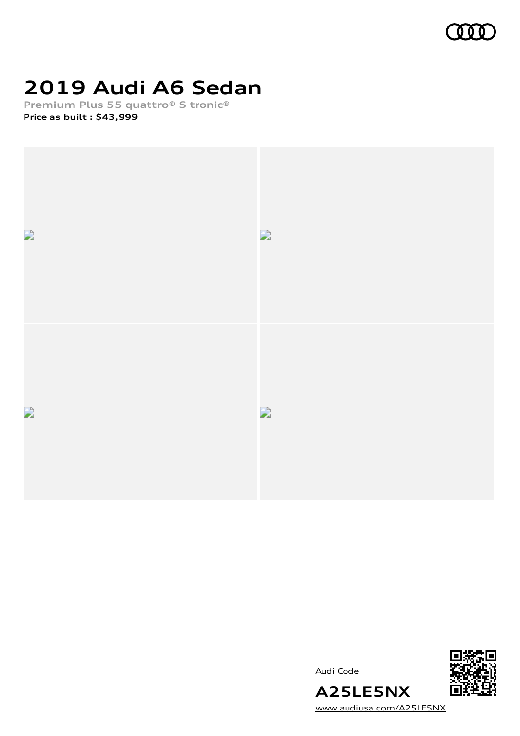

# **2019 Audi A6 Sedan**

**Premium Plus 55 quattro® S tronic® Price as built [:](#page-8-0) \$43,999**



Audi Code



[www.audiusa.com/A25LE5NX](https://www.audiusa.com/A25LE5NX)

**A25LE5NX**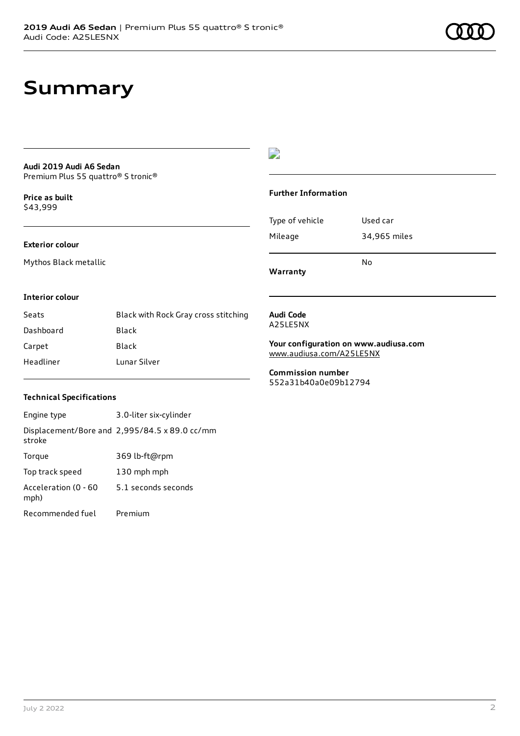### **Summary**

#### **Audi 2019 Audi A6 Sedan** Premium Plus 55 quattro® S tronic®

**Price as buil[t](#page-8-0)** \$43,999

#### **Exterior colour**

Mythos Black metallic

### $\overline{\phantom{a}}$

#### **Further Information**

|                 | N٥           |
|-----------------|--------------|
| Mileage         | 34,965 miles |
| Type of vehicle | Used car     |

**Warranty**

#### **Interior colour**

| Seats     | Black with Rock Gray cross stitching |
|-----------|--------------------------------------|
| Dashboard | Black                                |
| Carpet    | Black                                |
| Headliner | Lunar Silver                         |

#### **Audi Code** A25LE5NX

**Your configuration on www.audiusa.com** [www.audiusa.com/A25LE5NX](https://www.audiusa.com/A25LE5NX)

**Commission number** 552a31b40a0e09b12794

#### **Technical Specifications**

| Engine type                  | 3.0-liter six-cylinder                        |
|------------------------------|-----------------------------------------------|
| stroke                       | Displacement/Bore and 2,995/84.5 x 89.0 cc/mm |
| Torque                       | 369 lb-ft@rpm                                 |
| Top track speed              | 130 mph mph                                   |
| Acceleration (0 - 60<br>mph) | 5.1 seconds seconds                           |
| Recommended fuel             | Premium                                       |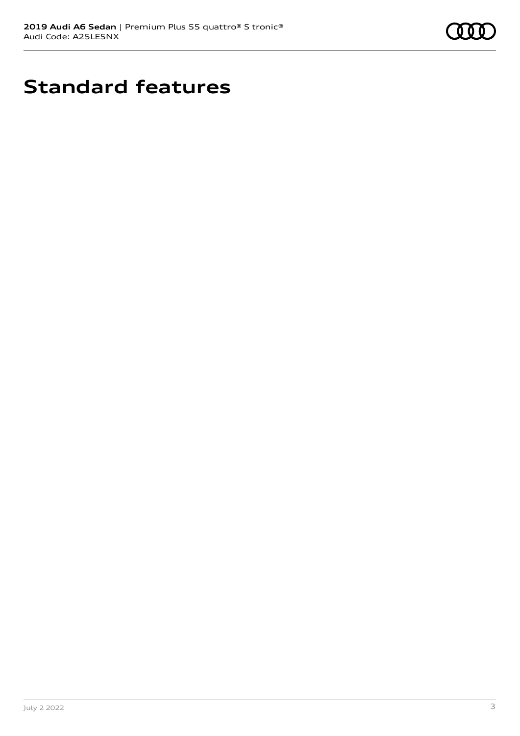

# **Standard features**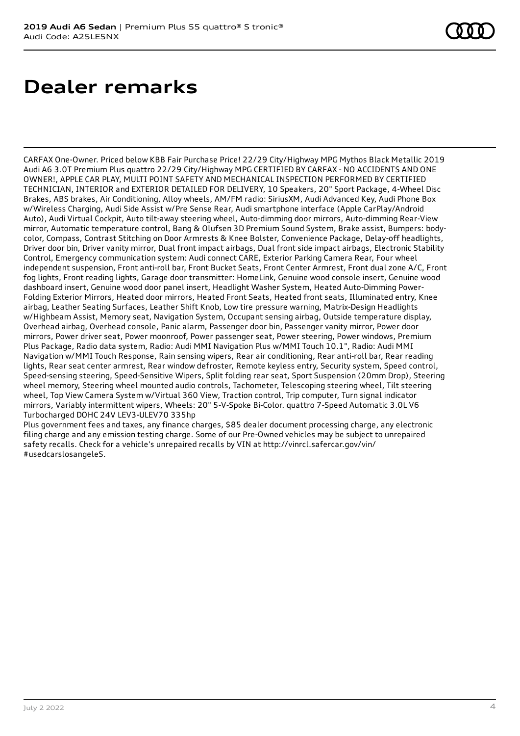### **Dealer remarks**

CARFAX One-Owner. Priced below KBB Fair Purchase Price! 22/29 City/Highway MPG Mythos Black Metallic 2019 Audi A6 3.0T Premium Plus quattro 22/29 City/Highway MPG CERTIFIED BY CARFAX - NO ACCIDENTS AND ONE OWNER!, APPLE CAR PLAY, MULTI POINT SAFETY AND MECHANICAL INSPECTION PERFORMED BY CERTIFIED TECHNICIAN, INTERIOR and EXTERIOR DETAILED FOR DELIVERY, 10 Speakers, 20" Sport Package, 4-Wheel Disc Brakes, ABS brakes, Air Conditioning, Alloy wheels, AM/FM radio: SiriusXM, Audi Advanced Key, Audi Phone Box w/Wireless Charging, Audi Side Assist w/Pre Sense Rear, Audi smartphone interface (Apple CarPlay/Android Auto), Audi Virtual Cockpit, Auto tilt-away steering wheel, Auto-dimming door mirrors, Auto-dimming Rear-View mirror, Automatic temperature control, Bang & Olufsen 3D Premium Sound System, Brake assist, Bumpers: bodycolor, Compass, Contrast Stitching on Door Armrests & Knee Bolster, Convenience Package, Delay-off headlights, Driver door bin, Driver vanity mirror, Dual front impact airbags, Dual front side impact airbags, Electronic Stability Control, Emergency communication system: Audi connect CARE, Exterior Parking Camera Rear, Four wheel independent suspension, Front anti-roll bar, Front Bucket Seats, Front Center Armrest, Front dual zone A/C, Front fog lights, Front reading lights, Garage door transmitter: HomeLink, Genuine wood console insert, Genuine wood dashboard insert, Genuine wood door panel insert, Headlight Washer System, Heated Auto-Dimming Power-Folding Exterior Mirrors, Heated door mirrors, Heated Front Seats, Heated front seats, Illuminated entry, Knee airbag, Leather Seating Surfaces, Leather Shift Knob, Low tire pressure warning, Matrix-Design Headlights w/Highbeam Assist, Memory seat, Navigation System, Occupant sensing airbag, Outside temperature display, Overhead airbag, Overhead console, Panic alarm, Passenger door bin, Passenger vanity mirror, Power door mirrors, Power driver seat, Power moonroof, Power passenger seat, Power steering, Power windows, Premium Plus Package, Radio data system, Radio: Audi MMI Navigation Plus w/MMI Touch 10.1", Radio: Audi MMI Navigation w/MMI Touch Response, Rain sensing wipers, Rear air conditioning, Rear anti-roll bar, Rear reading lights, Rear seat center armrest, Rear window defroster, Remote keyless entry, Security system, Speed control, Speed-sensing steering, Speed-Sensitive Wipers, Split folding rear seat, Sport Suspension (20mm Drop), Steering wheel memory, Steering wheel mounted audio controls, Tachometer, Telescoping steering wheel, Tilt steering wheel, Top View Camera System w/Virtual 360 View, Traction control, Trip computer, Turn signal indicator mirrors, Variably intermittent wipers, Wheels: 20" 5-V-Spoke Bi-Color. quattro 7-Speed Automatic 3.0L V6 Turbocharged DOHC 24V LEV3-ULEV70 335hp

Plus government fees and taxes, any finance charges, \$85 dealer document processing charge, any electronic filing charge and any emission testing charge. Some of our Pre-Owned vehicles may be subject to unrepaired safety recalls. Check for a vehicle's unrepaired recalls by VIN at http://vinrcl.safercar.gov/vin/ #usedcarslosangeleS.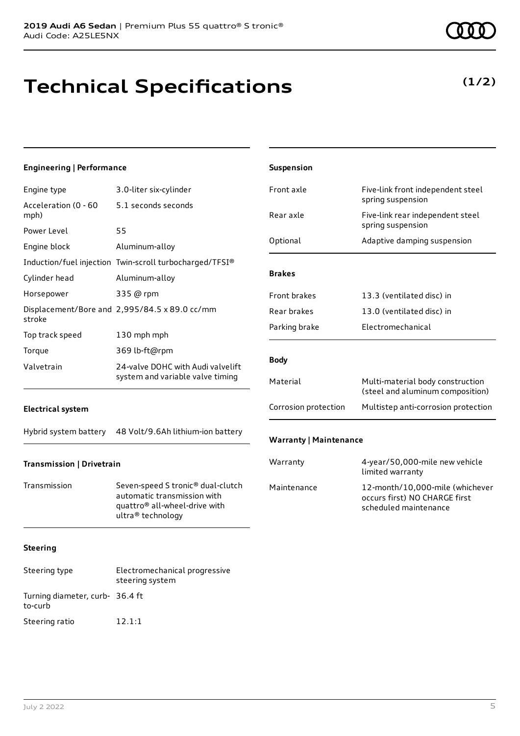# **Technical Specifications**

### **(1/2)**

| <b>Engineering   Performance</b>                                                                  |                                                                                                                                                                                                 | Suspension                                                                |                                                                                                                                 |
|---------------------------------------------------------------------------------------------------|-------------------------------------------------------------------------------------------------------------------------------------------------------------------------------------------------|---------------------------------------------------------------------------|---------------------------------------------------------------------------------------------------------------------------------|
| Engine type                                                                                       | 3.0-liter six-cylinder                                                                                                                                                                          | Front axle                                                                | Five-link front independent steel                                                                                               |
| Acceleration (0 - 60<br>mph)                                                                      | 5.1 seconds seconds                                                                                                                                                                             | Rear axle                                                                 | spring suspension<br>Five-link rear independent steel                                                                           |
| Power Level<br>Engine block<br>Cylinder head<br>Horsepower<br>stroke<br>Top track speed<br>Torque | 55<br>Aluminum-alloy<br>Induction/fuel injection Twin-scroll turbocharged/TFSI®<br>Aluminum-alloy<br>335 @ rpm<br>Displacement/Bore and 2,995/84.5 x 89.0 cc/mm<br>130 mph mph<br>369 lb-ft@rpm | Optional<br><b>Brakes</b><br>Front brakes<br>Rear brakes<br>Parking brake | spring suspension<br>Adaptive damping suspension<br>13.3 (ventilated disc) in<br>13.0 (ventilated disc) in<br>Electromechanical |
| Valvetrain                                                                                        | 24-valve DOHC with Audi valvelift<br>system and variable valve timing                                                                                                                           | <b>Body</b><br>Material                                                   | Multi-material body construction<br>(steel and aluminum composition)                                                            |
| <b>Electrical system</b>                                                                          |                                                                                                                                                                                                 | Corrosion protection                                                      | Multistep anti-corrosion protection                                                                                             |
| Hybrid system battery                                                                             | 48 Volt/9.6Ah lithium-ion battery                                                                                                                                                               | <b>Warranty   Maintenance</b>                                             |                                                                                                                                 |
| <b>Transmission   Drivetrain</b>                                                                  |                                                                                                                                                                                                 | Warranty                                                                  | 4-year/50,000-mile new vehicle<br>limited warranty                                                                              |
| Transmission                                                                                      | Seven-speed S tronic <sup>®</sup> dual-clutch<br>automatic transmission with<br>quattro® all-wheel-drive with<br>ultra® technology                                                              | Maintenance                                                               | 12-month/10,000-mile (whichever<br>occurs first) NO CHARGE first<br>scheduled maintenance                                       |
| <b>Steering</b>                                                                                   |                                                                                                                                                                                                 |                                                                           |                                                                                                                                 |
| Steering type                                                                                     | Electromechanical progressive<br>steering system                                                                                                                                                |                                                                           |                                                                                                                                 |

Turning diameter, curb-36.4 ft

to-curb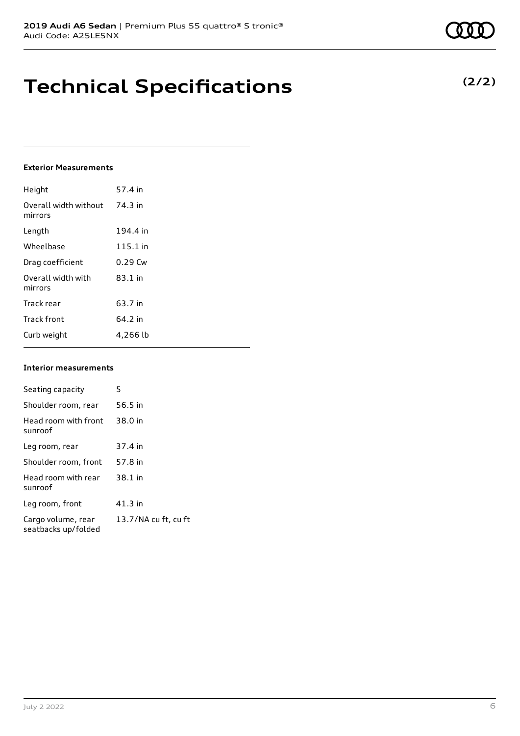### **Technical Specifications**

#### **Exterior Measurements**

| Height                           | 57.4 in   |
|----------------------------------|-----------|
| Overall width without<br>mirrors | 74.3 in   |
| Length                           | 194.4 in  |
| Wheelbase                        | 115.1 in  |
| Drag coefficient                 | $0.29$ Cw |
| Overall width with<br>mirrors    | $83.1$ in |
| Track rear                       | 63.7 in   |
| <b>Track front</b>               | 64.2 in   |
| Curb weight                      | 4,266 lb  |

#### **Interior measurements**

| Seating capacity                          | 5                    |
|-------------------------------------------|----------------------|
| Shoulder room, rear                       | 56.5 in              |
| Head room with front<br>sunroof           | 38.0 in              |
| Leg room, rear                            | 37.4 in              |
| Shoulder room, front                      | 57.8 in              |
| Head room with rear<br>sunroof            | 38.1 in              |
| Leg room, front                           | 41.3 in              |
| Cargo volume, rear<br>seatbacks up/folded | 13.7/NA cu ft, cu ft |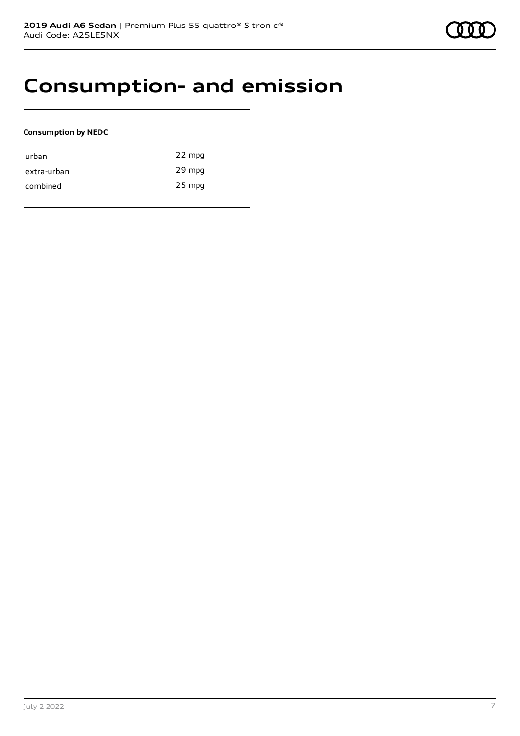### **Consumption- and emission**

#### **Consumption by NEDC**

| urban       | 22 mpg   |
|-------------|----------|
| extra-urban | 29 mpg   |
| combined    | $25$ mpg |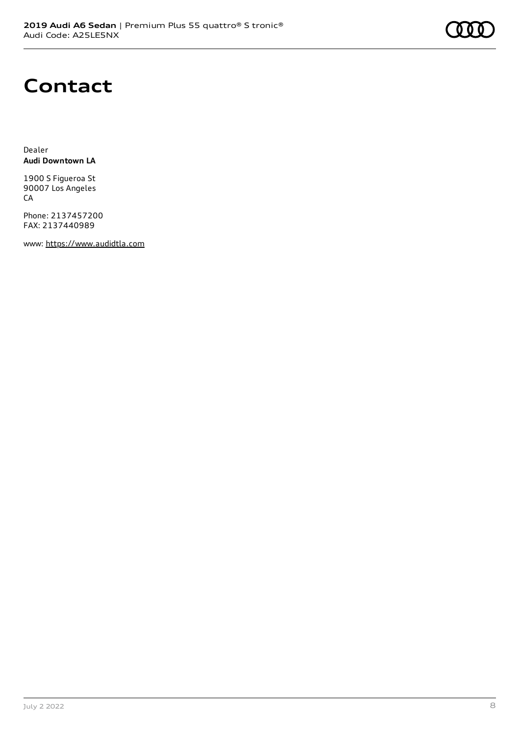### **Contact**

Dealer **Audi Downtown LA**

1900 S Figueroa St 90007 Los Angeles **CA** 

Phone: 2137457200 FAX: 2137440989

www: [https://www.audidtla.com](https://www.audidtla.com/)